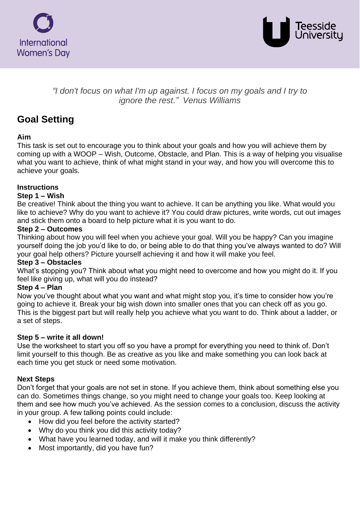



# *"I don't focus on what I'm up against. I focus on my goals and I try to ignore the rest." Venus Williams*

# **Goal Setting**

# **Aim**

This task is set out to encourage you to think about your goals and how you will achieve them by coming up with a WOOP – Wish, Outcome, Obstacle, and Plan. This is a way of helping you visualise what you want to achieve, think of what might stand in your way, and how you will overcome this to achieve your goals.

# **Instructions**

#### **Step 1 – Wish**

Be creative! Think about the thing you want to achieve. It can be anything you like. What would you like to achieve? Why do you want to achieve it? You could draw pictures, write words, cut out images and stick them onto a board to help picture what it is you want to do.

#### **Step 2 – Outcomes**

Thinking about how you will feel when you achieve your goal. Will you be happy? Can you imagine yourself doing the job you'd like to do, or being able to do that thing you've always wanted to do? Will your goal help others? Picture yourself achieving it and how it will make you feel.

# **Step 3 – Obstacles**

What's stopping you? Think about what you might need to overcome and how you might do it. If you feel like giving up, what will you do instead?

#### **Step 4 – Plan**

Now you've thought about what you want and what might stop you, it's time to consider how you're going to achieve it. Break your big wish down into smaller ones that you can check off as you go. This is the biggest part but will really help you achieve what you want to do. Think about a ladder, or a set of steps.

#### **Step 5 – write it all down!**

Use the worksheet to start you off so you have a prompt for everything you need to think of. Don't limit yourself to this though. Be as creative as you like and make something you can look back at each time you get stuck or need some motivation.

# **Next Steps**

Don't forget that your goals are not set in stone. If you achieve them, think about something else you can do. Sometimes things change, so you might need to change your goals too. Keep looking at them and see how much you've achieved. As the session comes to a conclusion, discuss the activity in your group. A few talking points could include:

- How did you feel before the activity started?
- Why do you think you did this activity today?
- What have you learned today, and will it make you think differently?
- Most importantly, did you have fun?